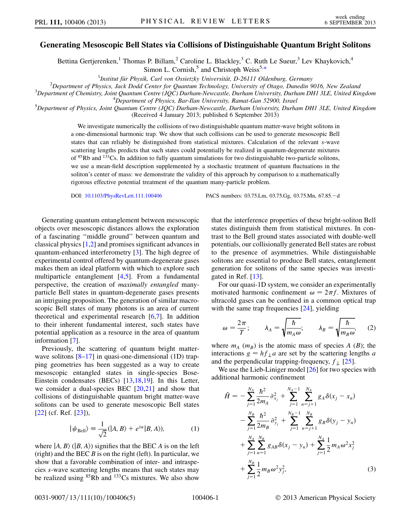## Generating Mesoscopic Bell States via Collisions of Distinguishable Quantum Bright Solitons

Bettina Gertjerenken,<sup>1</sup> Thomas P. Billam,<sup>2</sup> Caroline L. Blackley,<sup>3</sup> C. Ruth Le Sueur,<sup>3</sup> Lev Khaykovich,<sup>4</sup> Simon L. Cornish,<sup>5</sup> and Christoph Weiss<sup>5[,\\*](#page-3-0)</sup>

<span id="page-0-2"></span><sup>1</sup>Institut für Physik, Carl von Ossietzky Universität, D-26111 Oldenburg, Germany<sup>2</sup> Department of Physics, Lack Dodd Canter for Quantum Technology, University of Otace, Duncain C

 $^{2}$ Department of Physics, Jack Dodd Center for Quantum Technology, University of Otago, Dunedin 9016, New Zealand

 $3$ Department of Chemistry, Joint Quantum Centre (JQC) Durham-Newcastle, Durham University, Durham DH1 3LE, United Kingdom  $4$ Department of Physics, Bar-Ilan University, Ramat-Gan 52900, Israel

<sup>5</sup>Department of Physics, Bar-Ilan University, Ramat-Gan 52900, Israel<br><sup>5</sup>Department of Physics, Joint Quantum Centre (JQC) Durham-Newcastle, Durham University, Durham DH1 3LE, United Kingdom (Received 4 January 2013; published 6 September 2013)

> We investigate numerically the collisions of two distinguishable quantum matter-wave bright solitons in a one-dimensional harmonic trap. We show that such collisions can be used to generate mesoscopic Bell states that can reliably be distinguished from statistical mixtures. Calculation of the relevant s-wave scattering lengths predicts that such states could potentially be realized in quantum-degenerate mixtures of  $85Rb$  and  $133Cs$ . In addition to fully quantum simulations for two distinguishable two-particle solitons, we use a mean-field description supplemented by a stochastic treatment of quantum fluctuations in the soliton's center of mass: we demonstrate the validity of this approach by comparison to a mathematically rigorous effective potential treatment of the quantum many-particle problem.

DOI: [10.1103/PhysRevLett.111.100406](http://dx.doi.org/10.1103/PhysRevLett.111.100406) PACS numbers: 03.75.Lm, 03.75.Gg, 03.75.Mn, 67.85.<sup>d</sup>

Generating quantum entanglement between mesoscopic objects over mesoscopic distances allows the exploration of a fascinating ''middle ground'' between quantum and classical physics [[1,](#page-3-1)[2\]](#page-3-2) and promises significant advances in quantum-enhanced interferometry [[3](#page-3-3)]. The high degree of experimental control offered by quantum-degenerate gases makes them an ideal platform with which to explore such multiparticle entanglement [[4,](#page-3-4)[5\]](#page-4-0). From a fundamental perspective, the creation of maximally entangled manyparticle Bell states in quantum-degenerate gases presents an intriguing proposition. The generation of similar macroscopic Bell states of many photons is an area of current theoretical and experimental research [[6,](#page-4-1)[7\]](#page-4-2). In addition to their inherent fundamental interest, such states have potential application as a resource in the area of quantum information [\[7](#page-4-2)].

Previously, the scattering of quantum bright matter-wave solitons [\[8–](#page-4-3)[17](#page-4-4)] in quasi-one-dimensional (1D) trapping geometries has been suggested as a way to create mesoscopic entangled states in single-species Bose-Einstein condensates (BECs) [\[13,](#page-4-5)[18,](#page-4-6)[19\]](#page-4-7). In this Letter, we consider a dual-species BEC  $[20,21]$  $[20,21]$  and show that collisions of distinguishable quantum bright matter-wave solitons can be used to generate mesoscopic Bell states [\[22\]](#page-4-10) (cf. Ref. [[23](#page-4-11)]),

$$
|\psi_{\text{Bell}}\rangle \equiv \frac{1}{\sqrt{2}}(|A,B\rangle + e^{i\alpha}|B,A\rangle),\tag{1}
$$

<span id="page-0-0"></span>where  $|A, B \rangle$  ( $|B, A \rangle$ ) signifies that the BEC A is on the left (right) and the BEC  $B$  is on the right (left). In particular, we show that a favorable combination of inter- and intraspecies s-wave scattering lengths means that such states may be realized using  ${}^{85}$ Rb and  ${}^{133}$ Cs mixtures. We also show that the interference properties of these bright-soliton Bell states distinguish them from statistical mixtures. In contrast to the Bell ground states associated with double-well potentials, our collisionally generated Bell states are robust to the presence of asymmetries. While distinguishable solitons are essential to produce Bell states, entanglement generation for solitons of the same species was investigated in Ref. [\[13\]](#page-4-5).

For our quasi-1D system, we consider an experimentally motivated harmonic confinement  $\omega = 2\pi f$ . Mixtures of ultracold gases can be confined in a common optical tran ultracold gases can be confined in a common optical trap with the same trap frequencies [\[24\]](#page-4-12), yielding

$$
\omega = \frac{2\pi}{T}; \qquad \lambda_A = \sqrt{\frac{\hbar}{m_A \omega}}; \qquad \lambda_B = \sqrt{\frac{\hbar}{m_B \omega}}, \qquad (2)
$$

where  $m_A$  ( $m_B$ ) is the atomic mass of species A (B); the interactions  $g = hf_\perp a$  are set by the scattering lengths a and the perpendicular trapping-frequency,  $f_{\perp}$  [[25](#page-4-13)].

<span id="page-0-1"></span>We use the Lieb-Liniger model [[26\]](#page-4-14) for two species with additional harmonic confinement

$$
\hat{H} = -\sum_{j=1}^{N_A} \frac{\hbar^2}{2m_A} \partial_{x_j}^2 + \sum_{j=1}^{N_A-1} \sum_{n=j+1}^{N_A} g_A \delta(x_j - x_n) \n- \sum_{j=1}^{N_B} \frac{\hbar^2}{2m_B} \partial_{y_j}^2 + \sum_{j=1}^{N_B-1} \sum_{n=j+1}^{N_B} g_B \delta(y_j - y_n) \n+ \sum_{j=1}^{N_A} \sum_{n=1}^{N_B} g_{AB} \delta(x_j - y_n) + \sum_{j=1}^{N_A} \frac{1}{2} m_A \omega^2 x_j^2 \n+ \sum_{j=1}^{N_B} \frac{1}{2} m_B \omega^2 y_j^2,
$$
\n(3)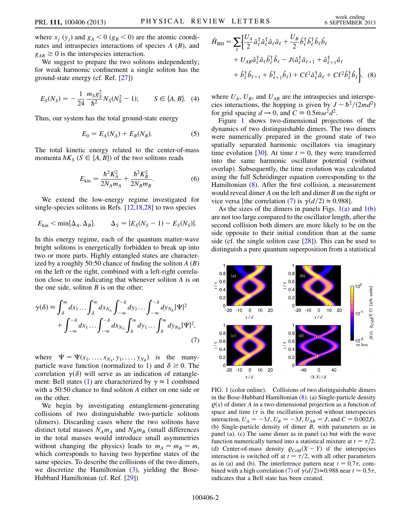where  $x_i$  (y<sub>i</sub>) and  $g_A < 0$  ( $g_B < 0$ ) are the atomic coordinates and intraspecies interactions of species  $A(B)$ , and  $g_{AB} \geq 0$  is the interspecies interaction.

We suggest to prepare the two solitons independently; for weak harmonic confinement a single soliton has the ground-state energy (cf. Ref. [\[27\]](#page-4-15))

$$
E_S(N_S) = -\frac{1}{24} \frac{m_S g_S^2}{\hbar^2} N_S(N_S^2 - 1); \qquad S \in \{A, B\}. \tag{4}
$$

Thus, our system has the total ground-state energy

$$
E_0 = E_A(N_A) + E_B(N_B). \tag{5}
$$

The total kinetic energy related to the center-of-mass momenta  $\hbar K_S$  ( $S \in \{A, B\}$ ) of the two solitons reads

$$
E_{\rm kin} = \frac{\hbar^2 K_A^2}{2N_A m_A} + \frac{\hbar^2 K_B^2}{2N_B m_B}.
$$
 (6)

We extend the low-energy regime investigated for single-species solitons in Refs. [[12](#page-4-16),[18](#page-4-6),[28](#page-4-17)] to two species

$$
E_{\rm kin} < \min\{\Delta_A, \Delta_B\}, \qquad \Delta_S = |E_S(N_S - 1) - E_S(N_S)|.
$$

<span id="page-1-2"></span>In this energy regime, each of the quantum matter-wave bright solitons is energetically forbidden to break up into two or more parts. Highly entangled states are characterized by a roughly 50:50 chance of finding the soliton  $A(B)$ on the left or the right, combined with a left-right correlation close to one indicating that whenever soliton A is on the one side, soliton  $B$  is on the other:

$$
\gamma(\delta) = \int_{\delta}^{\infty} dx_1 \dots \int_{\delta}^{\infty} dx_{N_A} \int_{-\infty}^{-\delta} dy_1 \dots \int_{-\infty}^{-\delta} dy_{N_B} |\Psi|^2
$$
  
+ 
$$
\int_{-\infty}^{-\delta} dx_1 \dots \int_{-\infty}^{-\delta} dx_{N_A} \int_{\delta}^{\infty} dy_1 \dots \int_{\delta}^{\infty} dy_{N_B} |\Psi|^2,
$$
(7)

where  $\Psi = \Psi(x_1, \ldots, x_{N_A}, y_1, \ldots, y_{N_B})$  is the many-<br>particle wave function (pormalized to 1) and  $\delta \ge 0$  The particle wave function (normalized to 1) and  $\delta \ge 0$ . The correlation  $\gamma(\delta)$  will serve as an indication of entangle-ment: Bell states ([1](#page-0-0)) are characterized by  $\gamma \approx 1$  combined with a 50:50 chance to find soliton A either on one side or on the other.

We begin by investigating entanglement-generating collisions of two distinguishable two-particle solitons (dimers). Discarding cases where the two solitons have distinct total masses  $N_A m_A$  and  $N_B m_B$  (small differences in the total masses would introduce small asymmetries without changing the physics) leads to  $m_A = m_B = m$ , which corresponds to having two hyperfine states of the same species. To describe the collisions of the two dimers, we discretize the Hamiltonian  $(3)$  $(3)$ , yielding the Bose-Hubbard Hamiltonian (cf. Ref. [[29](#page-4-18)])

<span id="page-1-1"></span>
$$
\hat{H}_{\text{BH}} = \sum_{\ell} \left\{ \frac{U_A}{2} \hat{a}_{\ell}^{\dagger} \hat{a}_{\ell}^{\dagger} \hat{a}_{\ell} \hat{a}_{\ell} + \frac{U_B}{2} \hat{b}_{\ell}^{\dagger} \hat{b}_{\ell}^{\dagger} \hat{b}_{\ell} \hat{b}_{\ell} \right. \\
\left. + U_{AB} \hat{a}_{\ell}^{\dagger} \hat{a}_{\ell} \hat{b}_{\ell}^{\dagger} \hat{b}_{\ell} - J(\hat{a}_{\ell}^{\dagger} \hat{a}_{\ell+1} + \hat{a}_{\ell+1}^{\dagger} \hat{a}_{\ell} + \hat{b}_{\ell}^{\dagger} \hat{b}_{\ell}) + \hat{b}_{\ell+1}^{\dagger} \hat{b}_{\ell} \right\}, \quad (8)
$$

where  $U_A$ ,  $U_B$ , and  $U_{AB}$  are the intraspecies and interspecies interactions, the hopping is given by  $J \sim \hbar^2/(2md^2)$ for grid spacing  $d \to 0$ , and  $C \equiv 0.5 m \omega^2 d^2$ .<br>Figure 1, shows two-dimensional projection

Figure [1](#page-1-0) shows two-dimensional projections of the dynamics of two distinguishable dimers. The two dimers were numerically prepared in the ground state of two spatially separated harmonic oscillators via imaginary time evolution [[30](#page-4-19)]. At time  $t = 0$ , they were transferred into the same harmonic oscillator potential (without overlap). Subsequently, the time evolution was calculated using the full Schrödinger equation corresponding to the Hamiltonian ([8](#page-1-1)). After the first collision, a measurement would reveal dimer A on the left and dimer B on the right or vice versa [the correlation ([7\)](#page-1-2) is  $\gamma(d/2) \approx 0.988$ ].

As the sizes of the dimers in panels Figs.  $1(a)$  and  $1(b)$ are not too large compared to the oscillator length, after the second collision both dimers are more likely to be on the side opposite to their initial condition than at the same side (cf. the single soliton case [\[28\]](#page-4-17)). This can be used to distinguish a pure quantum superposition from a statistical

<span id="page-1-0"></span>

<span id="page-1-3"></span>FIG. 1 (color online). Collisions of two distinguishable dimers in the Bose-Hubbard Hamiltonian ([8\)](#page-1-1). (a) Single-particle density  $\varrho(x)$  of dimer A in a two-dimensional projection as a function of space and time ( $\tau$  is the oscillation period without interspecies interaction,  $U_A = -3J$ ,  $U_B = -3J$ ,  $U_{AB} = J$ , and  $C = 0.002J$ . (b) Single-particle density of dimer B, with parameters as in panel (a). (c) The same dimer as in panel (a) but with the wave function numerically turned into a statistical mixture at  $t = \tau/2$ . (d) Center-of-mass density  $\varrho_{\text{CoM}}(X - Y)$  if the interspecies interaction is switched off at  $t = \tau/2$ , with all other parameters as in (a) and (b). The interference pattern near  $t = 0.7\tau$ , com-bined with a high correlation ([7](#page-1-2)) of  $\gamma(d/2) \approx 0.988$  near  $t = 0.5\tau$ , indicates that a Bell state has been created.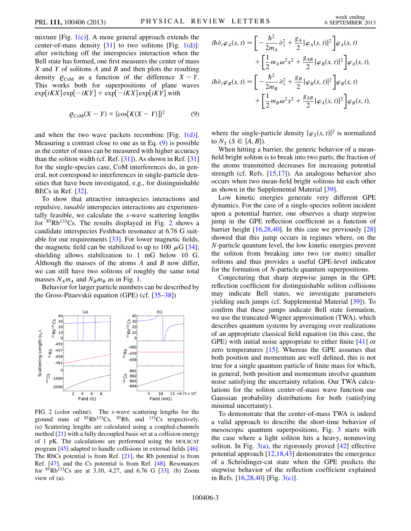mixture [Fig.  $1(c)$ ]. A more general approach extends the center-of-mass density  $[31]$  $[31]$  $[31]$  to two solitons  $[Fig, 1(d)]$  $[Fig, 1(d)]$ : after switching off the interspecies interaction when the Bell state has formed, one first measures the center of mass  $X$  and  $Y$  of solitons  $A$  and  $B$  and then plots the resulting density  $\varrho_{\text{CoM}}$  as a function of the difference  $X - Y$ . This works both for superpositions of plane waves  $\exp[iKX] \exp[-iKY] + \exp[-iKX] \exp[iKY]$  with

<span id="page-2-0"></span>
$$
Q_{\text{CoM}}(X - Y) \propto \{ \cos[K(X - Y)]\}^2 \tag{9}
$$

and when the two wave packets recombine [Fig. [1\(d\)\]](#page-1-3). Measuring a contrast close to one as in Eq. [\(9](#page-2-0)) is possible as the center of mass can be measured with higher accuracy than the soliton width (cf. Ref.  $[31]$ ). As shown in Ref.  $[31]$ for the single-species case, CoM interferences do, in general, not correspond to interferences in single-particle densities that have been investigated, e.g., for distinguishable BECs in Ref. [[32](#page-4-21)].

To show that attractive intraspecies interactions and repulsive, tunable interspecies interactions are experimentally feasible, we calculate the s-wave scattering lengths for  ${}^{85}Rb^{133}Cs$ . The results displayed in Fig. [2](#page-2-1) shows a candidate interspecies Feshbach resonance at 6.76 G suitable for our requirements [\[33\]](#page-4-22). For lower magnetic fields, the magnetic field can be stabilized to up to 100  $\mu$ G [\[34\]](#page-4-23); shielding allows stabilization to 1 mG below 10 G. Although the masses of the atoms  $A$  and  $B$  now differ, we can still have two solitons of roughly the same total masses  $N_A m_A$  and  $N_B m_B$  as in Fig. [1.](#page-1-0)

Behavior for larger particle numbers can be described by the Gross-Pitaevskii equation (GPE) (cf. [\[35–](#page-4-24)[38\]](#page-4-25))

<span id="page-2-1"></span>

FIG. 2 (color online). The s-wave scattering lengths for the ground state of  ${}^{85}Rb^{133}Cs$ ,  ${}^{85}Rb$ , and  ${}^{133}Cs$  respectively. (a) Scattering lengths are calculated using a coupled-channels method [[21](#page-4-9)] with a fully decoupled basis set at a collision energy of 1 pK. The calculations are performed using the MOLSCAT program [[45](#page-4-33)] adapted to handle collisions in external fields [\[46\]](#page-4-34). The RbCs potential is from Ref. [[21](#page-4-9)], the Rb potential is from Ref. [\[47](#page-4-35)], and the Cs potential is from Ref. [\[48\]](#page-4-36). Resonances for  ${}^{85}Rb^{133}Cs$  ${}^{85}Rb^{133}Cs$  ${}^{85}Rb^{133}Cs$  are at 3.10, 4.27, and 6.76 G [33]. (b) Zoom view of (a).

$$
i\hbar \partial_t \varphi_A(x, t) = \left[ -\frac{\hbar^2}{2m_A} \partial_x^2 + \frac{g_A}{2} |\varphi_A(x, t)|^2 \right] \varphi_A(x, t)
$$
  
+ 
$$
\left[ \frac{1}{2} m_A \omega^2 x^2 + \frac{g_{AB}}{2} |\varphi_B(x, t)|^2 \right] \varphi_A(x, t),
$$
  

$$
i\hbar \partial_t \varphi_B(x, t) = \left[ -\frac{\hbar^2}{2m_B} \partial_x^2 + \frac{g_B}{2} |\varphi_B(x, t)|^2 \right] \varphi_B(x, t)
$$
  
+ 
$$
\left[ \frac{1}{2} m_B \omega^2 x^2 + \frac{g_{AB}}{2} |\varphi_A(x, t)|^2 \right] \varphi_B(x, t),
$$

where the single-particle density  $|\varphi_{S}(x, t)|^2$  is normalized to  $N_s$   $(S \in \{A, B\})$ .

When hitting a barrier, the generic behavior of a meanfield bright soliton is to break into two parts; the fraction of the atoms transmitted decreases for increasing potential strength (cf. Refs.  $[15,17]$  $[15,17]$ ). An analogous behavior also occurs when two mean-field bright solitons hit each other as shown in the Supplemental Material [[39](#page-4-27)].

Low kinetic energies generate very different GPE dynamics. For the case of a single-species soliton incident upon a potential barrier, one observes a sharp stepwise jump in the GPE reflection coefficient as a function of barrier height [\[16](#page-4-28)[,28,](#page-4-17)[40\]](#page-4-29). In this case we previously [\[28\]](#page-4-17) showed that this jump occurs in regimes where, on the N-particle quantum level, the low kinetic energies prevent the soliton from breaking into two (or more) smaller solitons and thus provides a useful GPE-level indicator for the formation of N-particle quantum superpositions.

Conjecturing that sharp stepwise jumps in the GPE reflection coefficient for distinguishable soliton collisions may indicate Bell states, we investigate parameters yielding such jumps (cf. Supplemental Material [[39](#page-4-27)]). To confirm that these jumps indicate Bell state formation, we use the truncated-Wigner approximation (TWA), which describes quantum systems by averaging over realizations of an appropriate classical field equation (in this case, the GPE) with initial noise appropriate to either finite [\[41\]](#page-4-30) or zero temperatures [\[15\]](#page-4-26). Whereas the GPE assumes that both position and momentum are well defined, this is not true for a single quantum particle of finite mass for which, in general, both position and momentum involve quantum noise satisfying the uncertainty relation. Our TWA calculations for the soliton center-of-mass wave function use Gaussian probability distributions for both (satisfying minimal uncertainty).

To demonstrate that the center-of-mass TWA is indeed a valid approach to describe the short-time behavior of mesoscopic quantum superpositions, Fig. [3](#page-3-5) starts with the case where a light soliton hits a heavy, nonmoving soliton. In Fig.  $3(a)$ , the rigorously proved [\[42](#page-4-31)] effective potential approach [[12](#page-4-16),[18](#page-4-6),[43](#page-4-32)] demonstrates the emergence of a Schrödinger-cat state when the GPE predicts the stepwise behavior of the reflection coefficient explained in Refs. [\[16,](#page-4-28)[28,](#page-4-17)[40](#page-4-29)] [Fig. [3\(c\)](#page-3-6)].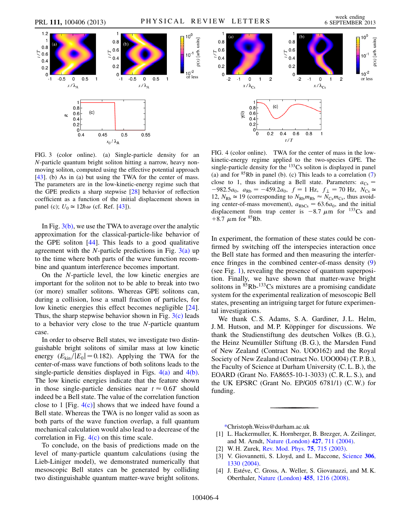<span id="page-3-5"></span>

<span id="page-3-6"></span>FIG. 3 (color online). (a) Single-particle density for an N-particle quantum bright soliton hitting a narrow, heavy nonmoving soliton, computed using the effective potential approach [\[43\]](#page-4-32). (b) As in (a) but using the TWA for the center of mass. The parameters are in the low-kinetic-energy regime such that the GPE predicts a sharp stepwise [[28](#page-4-17)] behavior of reflection coefficient as a function of the initial displacement shown in panel (c);  $U_0 \approx 12\hbar\omega$  (cf. Ref. [[43](#page-4-32)]).

In Fig. [3\(b\)](#page-3-6), we use the TWA to average over the analytic approximation for the classical-particle-like behavior of the GPE soliton [[44](#page-4-37)]. This leads to a good qualitative agreement with the N-particle predictions in Fig.  $3(a)$  up to the time where both parts of the wave function recombine and quantum interference becomes important.

On the N-particle level, the low kinetic energies are important for the soliton not to be able to break into two (or more) smaller solitons. Whereas GPE solitons can, during a collision, lose a small fraction of particles, for low kinetic energies this effect becomes negligible [\[24\]](#page-4-12). Thus, the sharp stepwise behavior shown in Fig.  $3(c)$  leads to a behavior very close to the true N-particle quantum case.

In order to observe Bell states, we investigate two distinguishable bright solitons of similar mass at low kinetic energy  $(E_{kin}/|E_0|=0.182)$ . Applying the TWA for the center-of-mass wave functions of both solitons leads to the single-particle densities displayed in Figs.  $4(a)$  and  $4(b)$ . The low kinetic energies indicate that the feature shown in those single-particle densities near  $t \approx 0.6T$  should indeed be a Bell state. The value of the correlation function close to 1 [Fig.  $4(c)$ ] shows that we indeed have found a Bell state. Whereas the TWA is no longer valid as soon as both parts of the wave function overlap, a full quantum mechanical calculation would also lead to a decrease of the correlation in Fig. [4\(c\)](#page-3-7) on this time scale.

To conclude, on the basis of predictions made on the level of many-particle quantum calculations (using the Lieb-Liniger model), we demonstrated numerically that mesoscopic Bell states can be generated by colliding two distinguishable quantum matter-wave bright solitons.

<span id="page-3-7"></span>FIG. 4 (color online). TWA for the center of mass in the lowkinetic-energy regime applied to the two-species GPE. The single-particle density for the <sup>133</sup>Cs soliton is displayed in panel (a) and for  ${}^{85}Rb$  in panel (b). (c) This leads to a correlation [\(7\)](#page-1-2) close to 1, thus indicating a Bell state. Parameters:  $a_{Cs}$  =  $-982.5a_0$ ,  $a_{Rb} = -459.2a_0$ ,  $f = 1$  Hz,  $f_{\perp} = 70$  Hz,  $N_{Cs} \approx$ 12,  $N_{\text{Rb}} \approx 19$  (corresponding to  $N_{\text{Rb}} m_{\text{Rb}} \approx N_{\text{Cs}} m_{\text{Cs}}$ , thus avoiding center-of-mass movement),  $a_{RbCs} = 63.6a_0$ , and the initial displacement from trap center is  $-8.7 \mu m$  for <sup>133</sup>Cs and +8.7  $\mu$ m for <sup>85</sup>Rb.

In experiment, the formation of these states could be confirmed by switching off the interspecies interaction once the Bell state has formed and then measuring the interference fringes in the combined center-of-mass density [\(9\)](#page-2-0) (see Fig. [1](#page-1-0)), revealing the presence of quantum superposition. Finally, we have shown that matter-wave bright solitons in <sup>85</sup>Rb-<sup>133</sup>Cs mixtures are a promising candidate system for the experimental realization of mesoscopic Bell states, presenting an intriguing target for future experimental investigations.

We thank C. S. Adams, S. A. Gardiner, J. L. Helm, J. M. Hutson, and M. P. Köppinger for discussions. We thank the Studienstiftung des deutschen Volkes (B. G.), the Heinz Neumüller Stiftung (B. G.), the Marsden Fund of New Zealand (Contract No. UOO162) and the Royal Society of New Zealand (Contract No. UOO004) (T. P. B.), the Faculty of Science at Durham University (C. L. B.), the EOARD (Grant No. FA8655-10-1-3033) (C. R. L. S.), and the UK EPSRC (Grant No. EP/G05 6781/1) (C. W.) for funding.

<span id="page-3-0"></span>[\\*C](#page-0-2)hristoph.Weiss@durham.ac.uk

- <span id="page-3-2"></span><span id="page-3-1"></span>[1] L. Hackermuller, K. Hornberger, B. Brezger, A. Zeilinger, and M. Arndt, [Nature \(London\)](http://dx.doi.org/10.1038/nature02276) 427, 711 (2004).
- <span id="page-3-3"></span>[2] W. H. Zurek, [Rev. Mod. Phys.](http://dx.doi.org/10.1103/RevModPhys.75.715) **75**, 715 (2003).
- <span id="page-3-4"></span>[3] V. Giovannetti, S. Lloyd, and L. Maccone, [Science](http://dx.doi.org/10.1126/science.1104149) 306, [1330 \(2004\)](http://dx.doi.org/10.1126/science.1104149).
- [4] J. Estéve, C. Gross, A. Weller, S. Giovanazzi, and M.K. Oberthaler, [Nature \(London\)](http://dx.doi.org/10.1038/nature07332) 455, 1216 (2008).